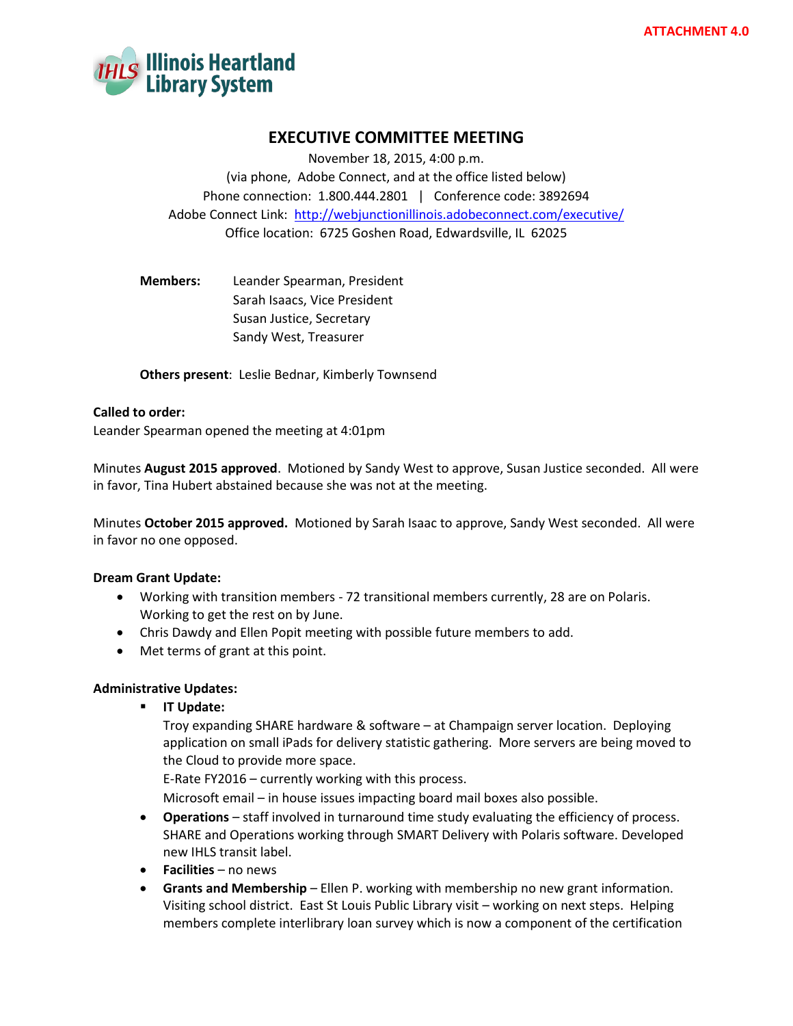

### **EXECUTIVE COMMITTEE MEETING**

November 18, 2015, 4:00 p.m. (via phone, Adobe Connect, and at the office listed below) Phone connection: 1.800.444.2801 | Conference code: 3892694 Adobe Connect Link: <http://webjunctionillinois.adobeconnect.com/executive/> Office location: 6725 Goshen Road, Edwardsville, IL 62025

**Members:** Leander Spearman, President Sarah Isaacs, Vice President Susan Justice, Secretary Sandy West, Treasurer

**Others present**: Leslie Bednar, Kimberly Townsend

#### **Called to order:**

Leander Spearman opened the meeting at 4:01pm

Minutes **August 2015 approved**. Motioned by Sandy West to approve, Susan Justice seconded. All were in favor, Tina Hubert abstained because she was not at the meeting.

Minutes **October 2015 approved.** Motioned by Sarah Isaac to approve, Sandy West seconded. All were in favor no one opposed.

### **Dream Grant Update:**

- Working with transition members 72 transitional members currently, 28 are on Polaris. Working to get the rest on by June.
- Chris Dawdy and Ellen Popit meeting with possible future members to add.
- Met terms of grant at this point.

### **Administrative Updates:**

**IT Update:**

Troy expanding SHARE hardware & software – at Champaign server location. Deploying application on small iPads for delivery statistic gathering. More servers are being moved to the Cloud to provide more space.

E-Rate FY2016 – currently working with this process.

Microsoft email – in house issues impacting board mail boxes also possible.

- **Operations**  staff involved in turnaround time study evaluating the efficiency of process. SHARE and Operations working through SMART Delivery with Polaris software. Developed new IHLS transit label.
- **Facilities** no news
- **Grants and Membership** Ellen P. working with membership no new grant information. Visiting school district. East St Louis Public Library visit – working on next steps. Helping members complete interlibrary loan survey which is now a component of the certification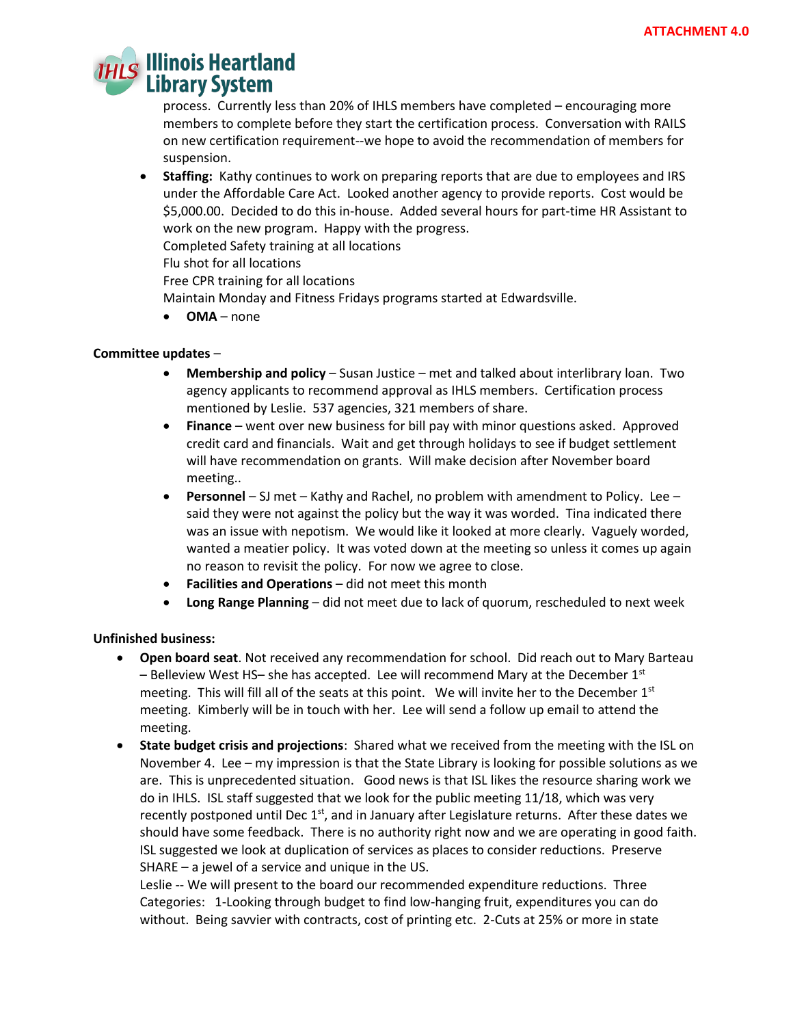# **Illinois Heartland Library System**

process. Currently less than 20% of IHLS members have completed – encouraging more members to complete before they start the certification process. Conversation with RAILS on new certification requirement--we hope to avoid the recommendation of members for suspension.

 **Staffing:** Kathy continues to work on preparing reports that are due to employees and IRS under the Affordable Care Act. Looked another agency to provide reports. Cost would be \$5,000.00. Decided to do this in-house. Added several hours for part-time HR Assistant to work on the new program. Happy with the progress.

Completed Safety training at all locations

Flu shot for all locations

Free CPR training for all locations

Maintain Monday and Fitness Fridays programs started at Edwardsville.

**OMA** – none

### **Committee updates** –

- **Membership and policy**  Susan Justice met and talked about interlibrary loan. Two agency applicants to recommend approval as IHLS members. Certification process mentioned by Leslie. 537 agencies, 321 members of share.
- **Finance**  went over new business for bill pay with minor questions asked. Approved credit card and financials. Wait and get through holidays to see if budget settlement will have recommendation on grants. Will make decision after November board meeting..
- **Personnel**  SJ met Kathy and Rachel, no problem with amendment to Policy. Lee said they were not against the policy but the way it was worded. Tina indicated there was an issue with nepotism. We would like it looked at more clearly. Vaguely worded, wanted a meatier policy. It was voted down at the meeting so unless it comes up again no reason to revisit the policy. For now we agree to close.
- **Facilities and Operations** did not meet this month
- **Long Range Planning** did not meet due to lack of quorum, rescheduled to next week

### **Unfinished business:**

- **Open board seat**. Not received any recommendation for school. Did reach out to Mary Barteau – Belleview West HS– she has accepted. Lee will recommend Mary at the December  $1<sup>st</sup>$ meeting. This will fill all of the seats at this point. We will invite her to the December  $1<sup>st</sup>$ meeting. Kimberly will be in touch with her. Lee will send a follow up email to attend the meeting.
- **State budget crisis and projections**: Shared what we received from the meeting with the ISL on November 4. Lee – my impression is that the State Library is looking for possible solutions as we are. This is unprecedented situation. Good news is that ISL likes the resource sharing work we do in IHLS. ISL staff suggested that we look for the public meeting 11/18, which was very recently postponed until Dec 1<sup>st</sup>, and in January after Legislature returns. After these dates we should have some feedback. There is no authority right now and we are operating in good faith. ISL suggested we look at duplication of services as places to consider reductions. Preserve SHARE – a jewel of a service and unique in the US.

Leslie -- We will present to the board our recommended expenditure reductions. Three Categories: 1-Looking through budget to find low-hanging fruit, expenditures you can do without. Being savvier with contracts, cost of printing etc. 2-Cuts at 25% or more in state